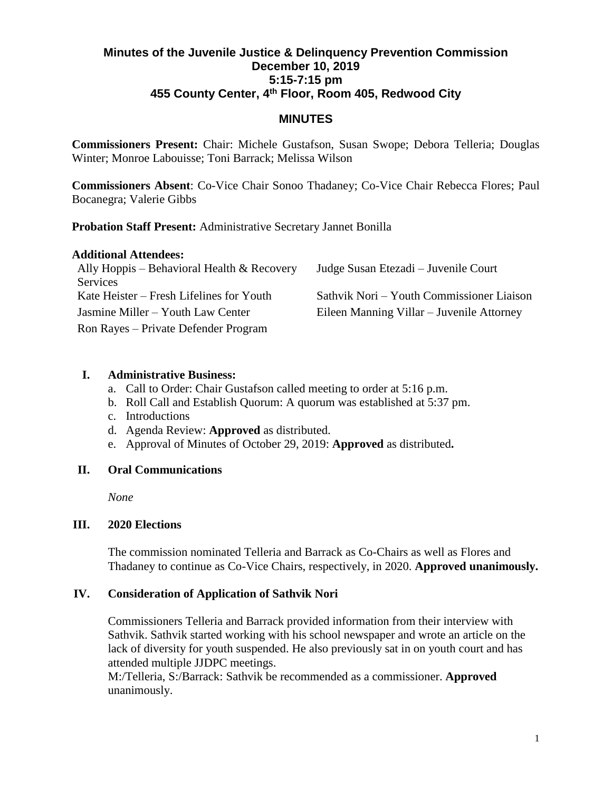# **Minutes of the Juvenile Justice & Delinquency Prevention Commission December 10, 2019 5:15-7:15 pm 455 County Center, 4th Floor, Room 405, Redwood City**

## **MINUTES**

**Commissioners Present:** Chair: Michele Gustafson, Susan Swope; Debora Telleria; Douglas Winter; Monroe Labouisse; Toni Barrack; Melissa Wilson

**Commissioners Absent**: Co-Vice Chair Sonoo Thadaney; Co-Vice Chair Rebecca Flores; Paul Bocanegra; Valerie Gibbs

**Probation Staff Present:** Administrative Secretary Jannet Bonilla

### **Additional Attendees:**

| Ally Hoppis – Behavioral Health $\&$ Recovery | Judge Susan Etezadi – Juvenile Court      |
|-----------------------------------------------|-------------------------------------------|
| Services                                      |                                           |
| Kate Heister – Fresh Lifelines for Youth      | Sathvik Nori – Youth Commissioner Liaison |
| Jasmine Miller – Youth Law Center             | Eileen Manning Villar – Juvenile Attorney |
| Ron Rayes – Private Defender Program          |                                           |

### **I. Administrative Business:**

- a. Call to Order: Chair Gustafson called meeting to order at 5:16 p.m.
- b. Roll Call and Establish Quorum: A quorum was established at 5:37 pm.
- c. Introductions
- d. Agenda Review: **Approved** as distributed.
- e. Approval of Minutes of October 29, 2019: **Approved** as distributed**.**

### **II. Oral Communications**

*None*

#### **III. 2020 Elections**

The commission nominated Telleria and Barrack as Co-Chairs as well as Flores and Thadaney to continue as Co-Vice Chairs, respectively, in 2020. **Approved unanimously.**

#### **IV. Consideration of Application of Sathvik Nori**

Commissioners Telleria and Barrack provided information from their interview with Sathvik. Sathvik started working with his school newspaper and wrote an article on the lack of diversity for youth suspended. He also previously sat in on youth court and has attended multiple JJDPC meetings.

M:/Telleria, S:/Barrack: Sathvik be recommended as a commissioner. **Approved** unanimously.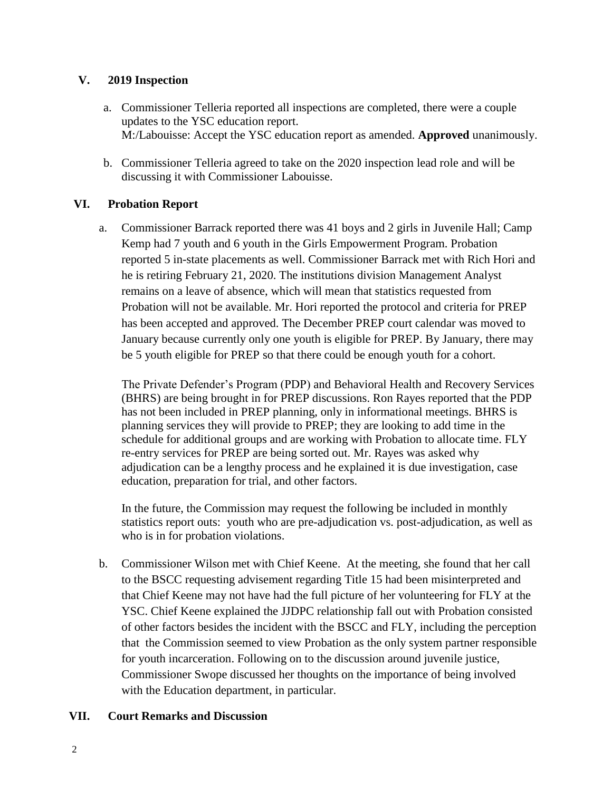### **V. 2019 Inspection**

- a. Commissioner Telleria reported all inspections are completed, there were a couple updates to the YSC education report. M:/Labouisse: Accept the YSC education report as amended. **Approved** unanimously.
- b. Commissioner Telleria agreed to take on the 2020 inspection lead role and will be discussing it with Commissioner Labouisse.

### **VI. Probation Report**

a. Commissioner Barrack reported there was 41 boys and 2 girls in Juvenile Hall; Camp Kemp had 7 youth and 6 youth in the Girls Empowerment Program. Probation reported 5 in-state placements as well. Commissioner Barrack met with Rich Hori and he is retiring February 21, 2020. The institutions division Management Analyst remains on a leave of absence, which will mean that statistics requested from Probation will not be available. Mr. Hori reported the protocol and criteria for PREP has been accepted and approved. The December PREP court calendar was moved to January because currently only one youth is eligible for PREP. By January, there may be 5 youth eligible for PREP so that there could be enough youth for a cohort.

The Private Defender's Program (PDP) and Behavioral Health and Recovery Services (BHRS) are being brought in for PREP discussions. Ron Rayes reported that the PDP has not been included in PREP planning, only in informational meetings. BHRS is planning services they will provide to PREP; they are looking to add time in the schedule for additional groups and are working with Probation to allocate time. FLY re-entry services for PREP are being sorted out. Mr. Rayes was asked why adjudication can be a lengthy process and he explained it is due investigation, case education, preparation for trial, and other factors.

In the future, the Commission may request the following be included in monthly statistics report outs: youth who are pre-adjudication vs. post-adjudication, as well as who is in for probation violations.

b. Commissioner Wilson met with Chief Keene. At the meeting, she found that her call to the BSCC requesting advisement regarding Title 15 had been misinterpreted and that Chief Keene may not have had the full picture of her volunteering for FLY at the YSC. Chief Keene explained the JJDPC relationship fall out with Probation consisted of other factors besides the incident with the BSCC and FLY, including the perception that the Commission seemed to view Probation as the only system partner responsible for youth incarceration. Following on to the discussion around juvenile justice, Commissioner Swope discussed her thoughts on the importance of being involved with the Education department, in particular.

#### **VII. Court Remarks and Discussion**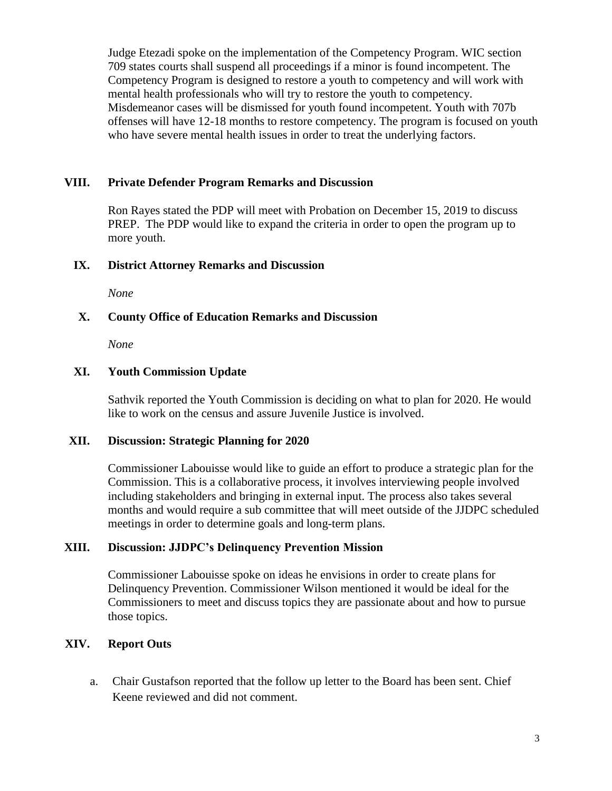Judge Etezadi spoke on the implementation of the Competency Program. WIC section 709 states courts shall suspend all proceedings if a minor is found incompetent. The Competency Program is designed to restore a youth to competency and will work with mental health professionals who will try to restore the youth to competency. Misdemeanor cases will be dismissed for youth found incompetent. Youth with 707b offenses will have 12-18 months to restore competency. The program is focused on youth who have severe mental health issues in order to treat the underlying factors.

#### **VIII. Private Defender Program Remarks and Discussion**

Ron Rayes stated the PDP will meet with Probation on December 15, 2019 to discuss PREP. The PDP would like to expand the criteria in order to open the program up to more youth.

#### **IX. District Attorney Remarks and Discussion**

*None*

#### **X. County Office of Education Remarks and Discussion**

*None*

#### **XI. Youth Commission Update**

Sathvik reported the Youth Commission is deciding on what to plan for 2020. He would like to work on the census and assure Juvenile Justice is involved.

#### **XII. Discussion: Strategic Planning for 2020**

Commissioner Labouisse would like to guide an effort to produce a strategic plan for the Commission. This is a collaborative process, it involves interviewing people involved including stakeholders and bringing in external input. The process also takes several months and would require a sub committee that will meet outside of the JJDPC scheduled meetings in order to determine goals and long-term plans.

#### **XIII. Discussion: JJDPC's Delinquency Prevention Mission**

Commissioner Labouisse spoke on ideas he envisions in order to create plans for Delinquency Prevention. Commissioner Wilson mentioned it would be ideal for the Commissioners to meet and discuss topics they are passionate about and how to pursue those topics.

#### **XIV. Report Outs**

a. Chair Gustafson reported that the follow up letter to the Board has been sent. Chief Keene reviewed and did not comment.